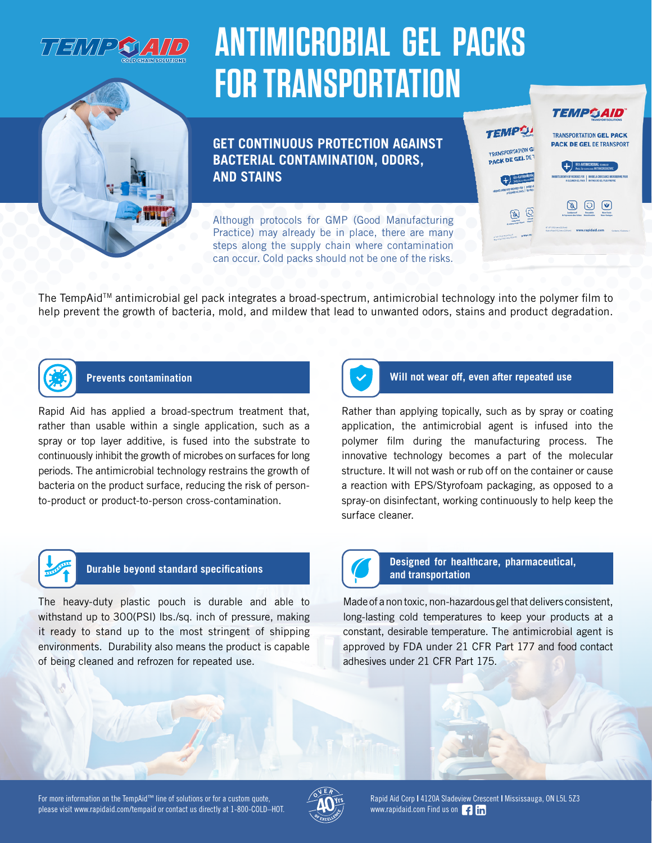

# **ANTIMICROBIAL GEL PACKS FOR TRANSPORTATION**

**GET CONTINUOUS PROTECTION AGAINST BACTERIAL CONTAMINATION, ODORS, AND STAINS**

Although protocols for GMP (Good Manufacturing Practice) may already be in place, there are many steps along the supply chain where contamination can occur. Cold packs should not be one of the risks.



 $+$   $\frac{1}{2}$  and  $\frac{1}{2}$ 

**TEMPO!** 

PACK DE GEL DE

**PACK DE GEL DE TRANSPORT** 

The TempAidTM antimicrobial gel pack integrates a broad-spectrum, antimicrobial technology into the polymer film to help prevent the growth of bacteria, mold, and mildew that lead to unwanted odors, stains and product degradation.



Rapid Aid has applied a broad-spectrum treatment that, rather than usable within a single application, such as a spray or top layer additive, is fused into the substrate to continuously inhibit the growth of microbes on surfaces for long periods. The antimicrobial technology restrains the growth of bacteria on the product surface, reducing the risk of personto-product or product-to-person cross-contamination.



### **Prevents contamination Will not wear off, even after repeated use**

Rather than applying topically, such as by spray or coating application, the antimicrobial agent is infused into the polymer film during the manufacturing process. The innovative technology becomes a part of the molecular structure. It will not wash or rub off on the container or cause a reaction with EPS/Styrofoam packaging, as opposed to a spray-on disinfectant, working continuously to help keep the surface cleaner.



The heavy-duty plastic pouch is durable and able to withstand up to 300(PSI) lbs./sq. inch of pressure, making it ready to stand up to the most stringent of shipping environments. Durability also means the product is capable of being cleaned and refrozen for repeated use.



### **Durable beyond standard specifications Designed for healthcare, pharmaceutical, Durable beyond standard specifications and transportation**

Made of a non toxic, non-hazardous gel that delivers consistent, long-lasting cold temperatures to keep your products at a constant, desirable temperature. The antimicrobial agent is approved by FDA under 21 CFR Part 177 and food contact adhesives under 21 CFR Part 175.

For more information on the TempAid™ line of solutions or for a custom quote, please visit www.rapidaid.com/tempaid or contact us directly at 1-800-COLD–HOT.



Rapid Aid Corp **|** 4120A Sladeview Crescent **|** Mississauga, ON L5L 5Z3 www.rapidaid.com Find us on **f** in